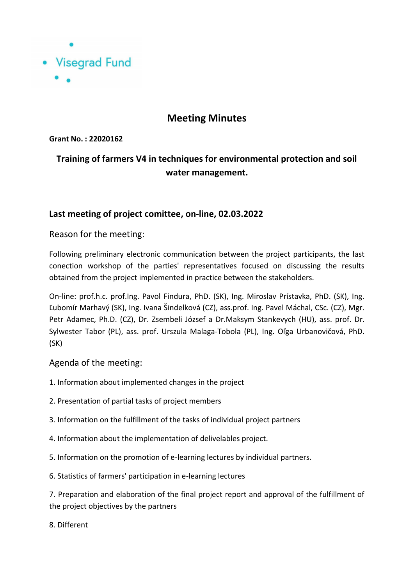

## **Meeting Minutes**

**Grant No. : 22020162**

# **Training of farmers V4 in techniques for environmental protection and soil water management.**

### **Last meeting of project comittee, on-line, 02.03.2022**

### Reason for the meeting:

Following preliminary electronic communication between the project participants, the last conection workshop of the parties' representatives focused on discussing the results obtained from the project implemented in practice between the stakeholders.

On-line: prof.h.c. prof.Ing. Pavol Findura, PhD. (SK), Ing. Miroslav Prístavka, PhD. (SK), Ing. Ľubomír Marhavý (SK), Ing. Ivana Šindelková (CZ), ass.prof. Ing. Pavel Máchal, CSc. (CZ), Mgr. Petr Adamec, Ph.D. (CZ), Dr. Zsembeli József a Dr.Maksym Stankevych (HU), ass. prof. Dr. Sylwester Tabor (PL), ass. prof. Urszula Malaga-Tobola (PL), Ing. Oľga Urbanovičová, PhD. (SK)

#### Agenda of the meeting:

- 1. Information about implemented changes in the project
- 2. Presentation of partial tasks of project members
- 3. Information on the fulfillment of the tasks of individual project partners
- 4. Information about the implementation of delivelables project.
- 5. Information on the promotion of e-learning lectures by individual partners.
- 6. Statistics of farmers' participation in e-learning lectures

7. Preparation and elaboration of the final project report and approval of the fulfillment of the project objectives by the partners

8. Different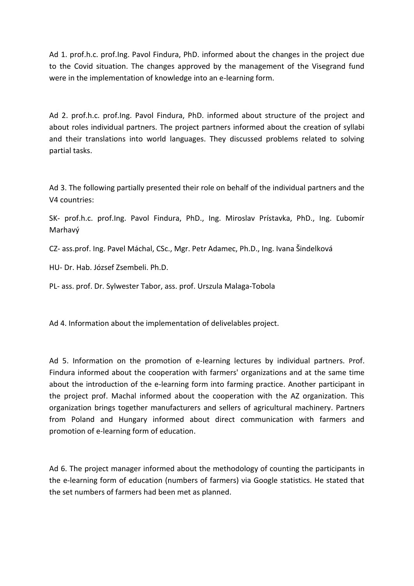Ad 1. prof.h.c. prof.Ing. Pavol Findura, PhD. informed about the changes in the project due to the Covid situation. The changes approved by the management of the Visegrand fund were in the implementation of knowledge into an e-learning form.

Ad 2. prof.h.c. prof.Ing. Pavol Findura, PhD. informed about structure of the project and about roles individual partners. The project partners informed about the creation of syllabi and their translations into world languages. They discussed problems related to solving partial tasks.

Ad 3. The following partially presented their role on behalf of the individual partners and the V4 countries:

SK- prof.h.c. prof.Ing. Pavol Findura, PhD., Ing. Miroslav Prístavka, PhD., Ing. Ľubomír Marhavý

CZ- ass.prof. Ing. Pavel Máchal, CSc., Mgr. Petr Adamec, Ph.D., Ing. Ivana Šindelková

HU- Dr. Hab. József Zsembeli. Ph.D.

PL- ass. prof. Dr. Sylwester Tabor, ass. prof. Urszula Malaga-Tobola

Ad 4. Information about the implementation of delivelables project.

Ad 5. Information on the promotion of e-learning lectures by individual partners. Prof. Findura informed about the cooperation with farmers' organizations and at the same time about the introduction of the e-learning form into farming practice. Another participant in the project prof. Machal informed about the cooperation with the AZ organization. This organization brings together manufacturers and sellers of agricultural machinery. Partners from Poland and Hungary informed about direct communication with farmers and promotion of e-learning form of education.

Ad 6. The project manager informed about the methodology of counting the participants in the e-learning form of education (numbers of farmers) via Google statistics. He stated that the set numbers of farmers had been met as planned.